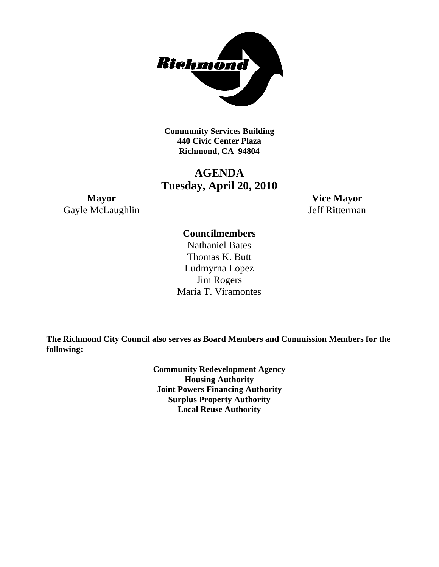

**Community Services Building 440 Civic Center Plaza Richmond, CA 94804** 

# **AGENDA Tuesday, April 20, 2010**

**Mayor Vice Mayor**  Gayle McLaughlin Jeff Ritterman

### **Councilmembers**

Nathaniel Bates Thomas K. Butt Ludmyrna Lopez Jim Rogers Maria T. Viramontes

**The Richmond City Council also serves as Board Members and Commission Members for the following:** 

> **Community Redevelopment Agency Housing Authority Joint Powers Financing Authority Surplus Property Authority Local Reuse Authority**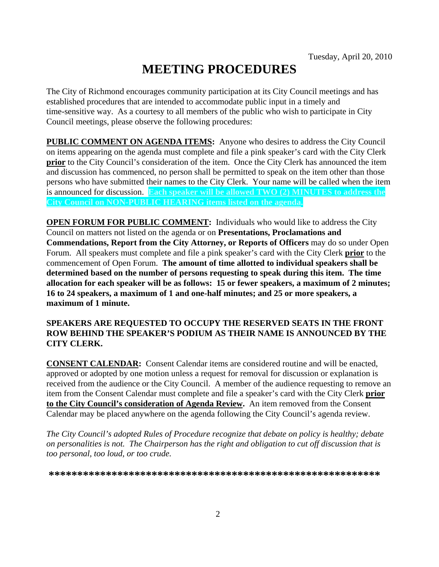# **MEETING PROCEDURES**

The City of Richmond encourages community participation at its City Council meetings and has established procedures that are intended to accommodate public input in a timely and time-sensitive way. As a courtesy to all members of the public who wish to participate in City Council meetings, please observe the following procedures:

**PUBLIC COMMENT ON AGENDA ITEMS:** Anyone who desires to address the City Council on items appearing on the agenda must complete and file a pink speaker's card with the City Clerk **prior** to the City Council's consideration of the item. Once the City Clerk has announced the item and discussion has commenced, no person shall be permitted to speak on the item other than those persons who have submitted their names to the City Clerk. Your name will be called when the item is announced for discussion. **Each speaker will be allowed TWO (2) MINUTES to address the City Council on NON-PUBLIC HEARING items listed on the agenda.** 

**OPEN FORUM FOR PUBLIC COMMENT:** Individuals who would like to address the City Council on matters not listed on the agenda or on **Presentations, Proclamations and Commendations, Report from the City Attorney, or Reports of Officers** may do so under Open Forum. All speakers must complete and file a pink speaker's card with the City Clerk **prior** to the commencement of Open Forum. **The amount of time allotted to individual speakers shall be determined based on the number of persons requesting to speak during this item. The time allocation for each speaker will be as follows: 15 or fewer speakers, a maximum of 2 minutes; 16 to 24 speakers, a maximum of 1 and one-half minutes; and 25 or more speakers, a maximum of 1 minute.** 

#### **SPEAKERS ARE REQUESTED TO OCCUPY THE RESERVED SEATS IN THE FRONT ROW BEHIND THE SPEAKER'S PODIUM AS THEIR NAME IS ANNOUNCED BY THE CITY CLERK.**

**CONSENT CALENDAR:** Consent Calendar items are considered routine and will be enacted, approved or adopted by one motion unless a request for removal for discussion or explanation is received from the audience or the City Council. A member of the audience requesting to remove an item from the Consent Calendar must complete and file a speaker's card with the City Clerk **prior to the City Council's consideration of Agenda Review.** An item removed from the Consent Calendar may be placed anywhere on the agenda following the City Council's agenda review.

*The City Council's adopted Rules of Procedure recognize that debate on policy is healthy; debate on personalities is not. The Chairperson has the right and obligation to cut off discussion that is too personal, too loud, or too crude.* 

**\*\*\*\*\*\*\*\*\*\*\*\*\*\*\*\*\*\*\*\*\*\*\*\*\*\*\*\*\*\*\*\*\*\*\*\*\*\*\*\*\*\*\*\*\*\*\*\*\*\*\*\*\*\*\*\*\*\***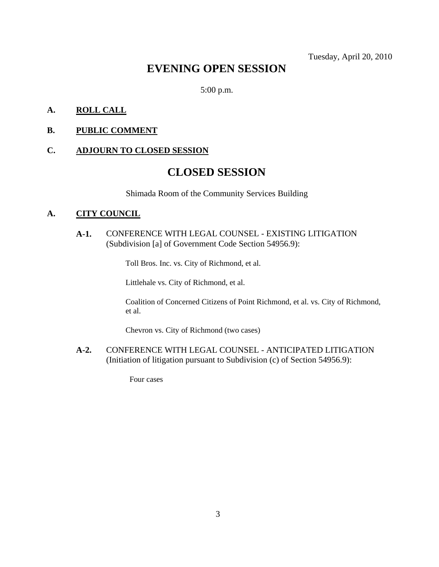Tuesday, April 20, 2010

# **EVENING OPEN SESSION**

5:00 p.m.

#### **A. ROLL CALL**

#### **B. PUBLIC COMMENT**

#### **C. ADJOURN TO CLOSED SESSION**

# **CLOSED SESSION**

Shimada Room of the Community Services Building

#### **A. CITY COUNCIL**

**A-1.** CONFERENCE WITH LEGAL COUNSEL - EXISTING LITIGATION (Subdivision [a] of Government Code Section 54956.9):

Toll Bros. Inc. vs. City of Richmond, et al.

Littlehale vs. City of Richmond, et al.

Coalition of Concerned Citizens of Point Richmond, et al. vs. City of Richmond, et al.

Chevron vs. City of Richmond (two cases)

**A-2.** CONFERENCE WITH LEGAL COUNSEL - ANTICIPATED LITIGATION (Initiation of litigation pursuant to Subdivision (c) of Section 54956.9):

Four cases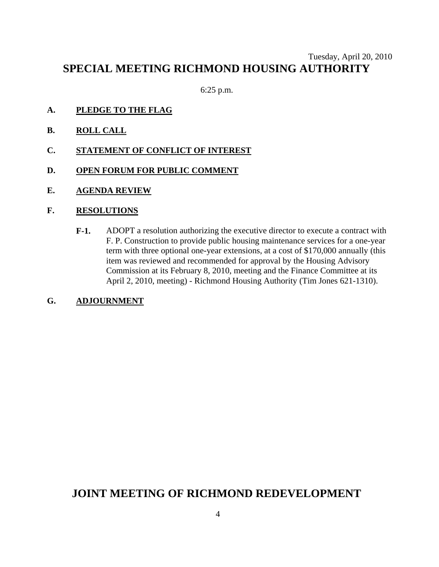## Tuesday, April 20, 2010 **SPECIAL MEETING RICHMOND HOUSING AUTHORITY**

6:25 p.m.

- **A. PLEDGE TO THE FLAG**
- **B. ROLL CALL**
- **C. STATEMENT OF CONFLICT OF INTEREST**
- **D. OPEN FORUM FOR PUBLIC COMMENT**
- **E. AGENDA REVIEW**

#### **F. RESOLUTIONS**

**F-1.** ADOPT a resolution authorizing the executive director to execute a contract with F. P. Construction to provide public housing maintenance services for a one-year term with three optional one-year extensions, at a cost of \$170,000 annually (this item was reviewed and recommended for approval by the Housing Advisory Commission at its February 8, 2010, meeting and the Finance Committee at its April 2, 2010, meeting) - Richmond Housing Authority (Tim Jones 621-1310).

#### **G. ADJOURNMENT**

# **JOINT MEETING OF RICHMOND REDEVELOPMENT**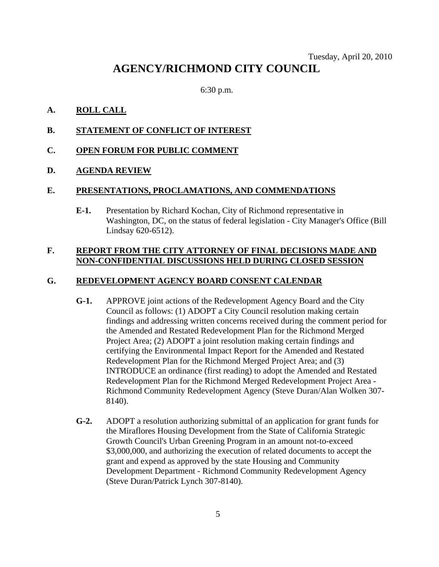### Tuesday, April 20, 2010 **AGENCY/RICHMOND CITY COUNCIL**

6:30 p.m.

#### **A. ROLL CALL**

**B. STATEMENT OF CONFLICT OF INTEREST**

#### **C. OPEN FORUM FOR PUBLIC COMMENT**

#### **D. AGENDA REVIEW**

#### **E. PRESENTATIONS, PROCLAMATIONS, AND COMMENDATIONS**

**E-1.** Presentation by Richard Kochan, City of Richmond representative in Washington, DC, on the status of federal legislation - City Manager's Office (Bill Lindsay 620-6512).

#### **F. REPORT FROM THE CITY ATTORNEY OF FINAL DECISIONS MADE AND NON-CONFIDENTIAL DISCUSSIONS HELD DURING CLOSED SESSION**

#### **G. REDEVELOPMENT AGENCY BOARD CONSENT CALENDAR**

- **G-1.** APPROVE joint actions of the Redevelopment Agency Board and the City Council as follows: (1) ADOPT a City Council resolution making certain findings and addressing written concerns received during the comment period for the Amended and Restated Redevelopment Plan for the Richmond Merged Project Area; (2) ADOPT a joint resolution making certain findings and certifying the Environmental Impact Report for the Amended and Restated Redevelopment Plan for the Richmond Merged Project Area; and (3) INTRODUCE an ordinance (first reading) to adopt the Amended and Restated Redevelopment Plan for the Richmond Merged Redevelopment Project Area - Richmond Community Redevelopment Agency (Steve Duran/Alan Wolken 307- 8140).
- **G-2.** ADOPT a resolution authorizing submittal of an application for grant funds for the Miraflores Housing Development from the State of California Strategic Growth Council's Urban Greening Program in an amount not-to-exceed \$3,000,000, and authorizing the execution of related documents to accept the grant and expend as approved by the state Housing and Community Development Department - Richmond Community Redevelopment Agency (Steve Duran/Patrick Lynch 307-8140).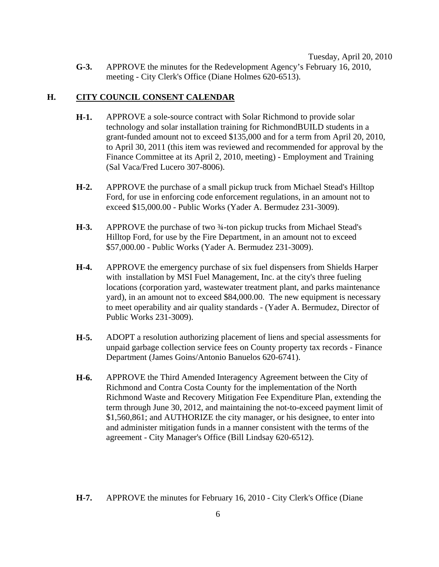**G-3.** APPROVE the minutes for the Redevelopment Agency's February 16, 2010, meeting - City Clerk's Office (Diane Holmes 620-6513).

#### **H. CITY COUNCIL CONSENT CALENDAR**

- **H-1.** APPROVE a sole-source contract with Solar Richmond to provide solar technology and solar installation training for RichmondBUILD students in a grant-funded amount not to exceed \$135,000 and for a term from April 20, 2010, to April 30, 2011 (this item was reviewed and recommended for approval by the Finance Committee at its April 2, 2010, meeting) - Employment and Training (Sal Vaca/Fred Lucero 307-8006).
- **H-2.** APPROVE the purchase of a small pickup truck from Michael Stead's Hilltop Ford, for use in enforcing code enforcement regulations, in an amount not to exceed \$15,000.00 - Public Works (Yader A. Bermudez 231-3009).
- **H-3.** APPROVE the purchase of two ¾-ton pickup trucks from Michael Stead's Hilltop Ford, for use by the Fire Department, in an amount not to exceed \$57,000.00 - Public Works (Yader A. Bermudez 231-3009).
- **H-4.** APPROVE the emergency purchase of six fuel dispensers from Shields Harper with installation by MSI Fuel Management, Inc. at the city's three fueling locations (corporation yard, wastewater treatment plant, and parks maintenance yard), in an amount not to exceed \$84,000.00. The new equipment is necessary to meet operability and air quality standards - (Yader A. Bermudez, Director of Public Works 231-3009).
- **H-5.** ADOPT a resolution authorizing placement of liens and special assessments for unpaid garbage collection service fees on County property tax records - Finance Department (James Goins/Antonio Banuelos 620-6741).
- **H-6.** APPROVE the Third Amended Interagency Agreement between the City of Richmond and Contra Costa County for the implementation of the North Richmond Waste and Recovery Mitigation Fee Expenditure Plan, extending the term through June 30, 2012, and maintaining the not-to-exceed payment limit of \$1,560,861; and AUTHORIZE the city manager, or his designee, to enter into and administer mitigation funds in a manner consistent with the terms of the agreement - City Manager's Office (Bill Lindsay 620-6512).
- **H-7.** APPROVE the minutes for February 16, 2010 City Clerk's Office (Diane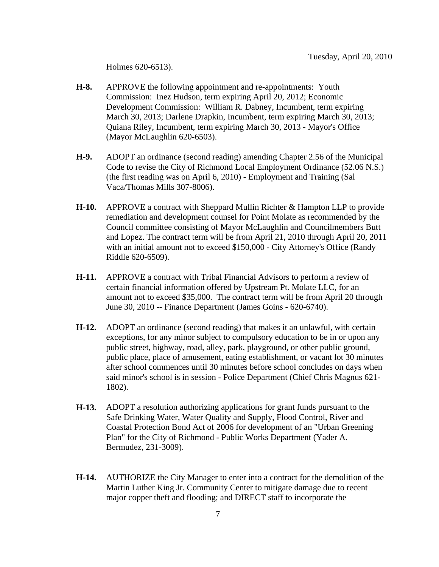Holmes 620-6513).

- **H-8.** APPROVE the following appointment and re-appointments: Youth Commission: Inez Hudson, term expiring April 20, 2012; Economic Development Commission: William R. Dabney, Incumbent, term expiring March 30, 2013; Darlene Drapkin, Incumbent, term expiring March 30, 2013; Quiana Riley, Incumbent, term expiring March 30, 2013 - Mayor's Office (Mayor McLaughlin 620-6503).
- **H-9.** ADOPT an ordinance (second reading) amending Chapter 2.56 of the Municipal Code to revise the City of Richmond Local Employment Ordinance (52.06 N.S.) (the first reading was on April 6, 2010) - Employment and Training (Sal Vaca/Thomas Mills 307-8006).
- **H-10.** APPROVE a contract with Sheppard Mullin Richter & Hampton LLP to provide remediation and development counsel for Point Molate as recommended by the Council committee consisting of Mayor McLaughlin and Councilmembers Butt and Lopez. The contract term will be from April 21, 2010 through April 20, 2011 with an initial amount not to exceed \$150,000 - City Attorney's Office (Randy Riddle 620-6509).
- **H-11.** APPROVE a contract with Tribal Financial Advisors to perform a review of certain financial information offered by Upstream Pt. Molate LLC, for an amount not to exceed \$35,000. The contract term will be from April 20 through June 30, 2010 -- Finance Department (James Goins - 620-6740).
- **H-12.** ADOPT an ordinance (second reading) that makes it an unlawful, with certain exceptions, for any minor subject to compulsory education to be in or upon any public street, highway, road, alley, park, playground, or other public ground, public place, place of amusement, eating establishment, or vacant lot 30 minutes after school commences until 30 minutes before school concludes on days when said minor's school is in session - Police Department (Chief Chris Magnus 621- 1802).
- **H-13.** ADOPT a resolution authorizing applications for grant funds pursuant to the Safe Drinking Water, Water Quality and Supply, Flood Control, River and Coastal Protection Bond Act of 2006 for development of an "Urban Greening Plan" for the City of Richmond - Public Works Department (Yader A. Bermudez, 231-3009).
- **H-14.** AUTHORIZE the City Manager to enter into a contract for the demolition of the Martin Luther King Jr. Community Center to mitigate damage due to recent major copper theft and flooding; and DIRECT staff to incorporate the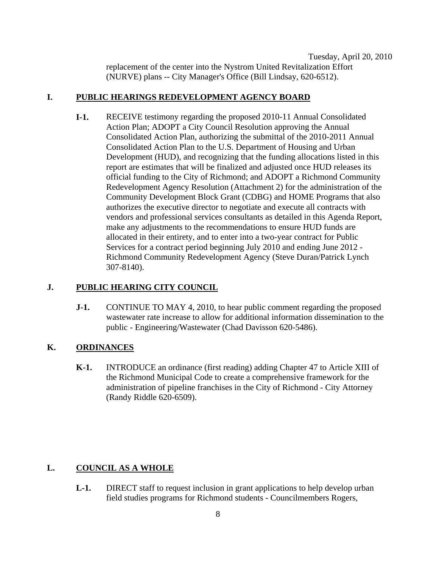Tuesday, April 20, 2010 replacement of the center into the Nystrom United Revitalization Effort (NURVE) plans -- City Manager's Office (Bill Lindsay, 620-6512).

#### **I. PUBLIC HEARINGS REDEVELOPMENT AGENCY BOARD**

**I-1.** RECEIVE testimony regarding the proposed 2010-11 Annual Consolidated Action Plan; ADOPT a City Council Resolution approving the Annual Consolidated Action Plan, authorizing the submittal of the 2010-2011 Annual Consolidated Action Plan to the U.S. Department of Housing and Urban Development (HUD), and recognizing that the funding allocations listed in this report are estimates that will be finalized and adjusted once HUD releases its official funding to the City of Richmond; and ADOPT a Richmond Community Redevelopment Agency Resolution (Attachment 2) for the administration of the Community Development Block Grant (CDBG) and HOME Programs that also authorizes the executive director to negotiate and execute all contracts with vendors and professional services consultants as detailed in this Agenda Report, make any adjustments to the recommendations to ensure HUD funds are allocated in their entirety, and to enter into a two-year contract for Public Services for a contract period beginning July 2010 and ending June 2012 - Richmond Community Redevelopment Agency (Steve Duran/Patrick Lynch 307-8140).

#### **J. PUBLIC HEARING CITY COUNCIL**

**J-1.** CONTINUE TO MAY 4, 2010, to hear public comment regarding the proposed wastewater rate increase to allow for additional information dissemination to the public - Engineering/Wastewater (Chad Davisson 620-5486).

#### **K. ORDINANCES**

**K-1.** INTRODUCE an ordinance (first reading) adding Chapter 47 to Article XIII of the Richmond Municipal Code to create a comprehensive framework for the administration of pipeline franchises in the City of Richmond - City Attorney (Randy Riddle 620-6509).

#### **L. COUNCIL AS A WHOLE**

**L-1.** DIRECT staff to request inclusion in grant applications to help develop urban field studies programs for Richmond students - Councilmembers Rogers,